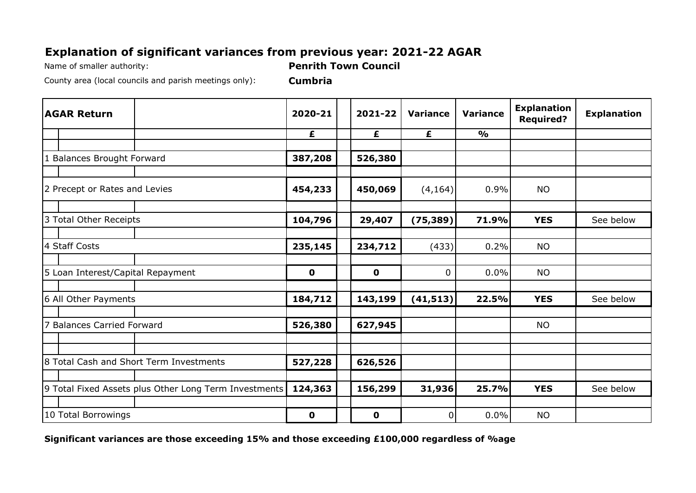## **Explanation of significant variances from previous year: 2021-22 AGAR**

Name of smaller authority: **Penrith Town Council**

County area (local councils and parish meetings only): **Cumbria**

| <b>AGAR Return</b>                                    | 2020-21     | 2021-22     | <b>Variance</b> | <b>Variance</b> | <b>Explanation</b><br><b>Required?</b> | <b>Explanation</b> |
|-------------------------------------------------------|-------------|-------------|-----------------|-----------------|----------------------------------------|--------------------|
|                                                       | £           | £           | £               | $\frac{1}{2}$   |                                        |                    |
|                                                       |             |             |                 |                 |                                        |                    |
| 1 Balances Brought Forward                            | 387,208     | 526,380     |                 |                 |                                        |                    |
|                                                       |             |             |                 |                 |                                        |                    |
| 2 Precept or Rates and Levies                         | 454,233     | 450,069     | (4, 164)        | 0.9%            | <b>NO</b>                              |                    |
|                                                       |             |             |                 |                 |                                        |                    |
| 3 Total Other Receipts                                | 104,796     | 29,407      | (75, 389)       | 71.9%           | <b>YES</b>                             | See below          |
|                                                       |             |             |                 |                 |                                        |                    |
| 4 Staff Costs                                         | 235,145     | 234,712     | (433)           | 0.2%            | <b>NO</b>                              |                    |
|                                                       |             |             |                 |                 |                                        |                    |
| 5 Loan Interest/Capital Repayment                     | $\mathbf 0$ | $\mathbf 0$ | $\mathbf 0$     | 0.0%            | <b>NO</b>                              |                    |
|                                                       |             |             |                 |                 |                                        |                    |
| 6 All Other Payments                                  | 184,712     | 143,199     | (41, 513)       | 22.5%           | <b>YES</b>                             | See below          |
|                                                       |             |             |                 |                 |                                        |                    |
| 7 Balances Carried Forward                            | 526,380     | 627,945     |                 |                 | <b>NO</b>                              |                    |
|                                                       |             |             |                 |                 |                                        |                    |
|                                                       |             |             |                 |                 |                                        |                    |
| 8 Total Cash and Short Term Investments               | 527,228     | 626,526     |                 |                 |                                        |                    |
|                                                       |             |             |                 |                 |                                        |                    |
| 9 Total Fixed Assets plus Other Long Term Investments | 124,363     | 156,299     | 31,936          | 25.7%           | <b>YES</b>                             | See below          |
|                                                       |             |             |                 |                 |                                        |                    |
| 10 Total Borrowings                                   | $\mathbf 0$ | $\mathbf 0$ | $\mathbf 0$     | 0.0%            | <b>NO</b>                              |                    |

**Significant variances are those exceeding 15% and those exceeding £100,000 regardless of %age**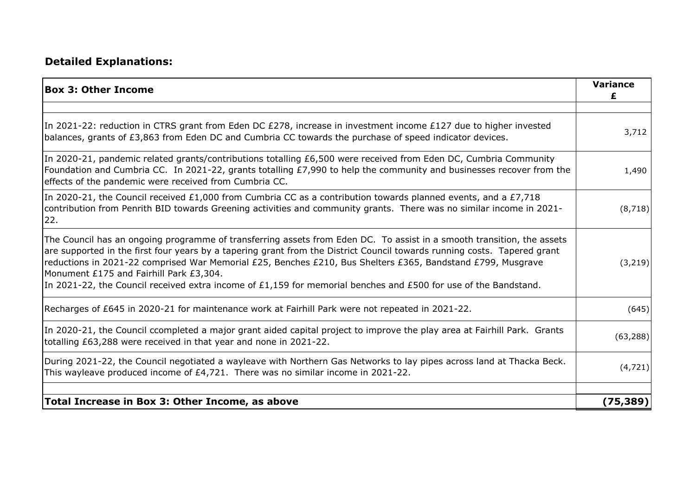## **Detailed Explanations:**

| <b>Box 3: Other Income</b>                                                                                                                                                                                                                                                                                                                                                                                                                                                                                                      | <b>Variance</b><br>£ |
|---------------------------------------------------------------------------------------------------------------------------------------------------------------------------------------------------------------------------------------------------------------------------------------------------------------------------------------------------------------------------------------------------------------------------------------------------------------------------------------------------------------------------------|----------------------|
| In 2021-22: reduction in CTRS grant from Eden DC £278, increase in investment income £127 due to higher invested<br>balances, grants of £3,863 from Eden DC and Cumbria CC towards the purchase of speed indicator devices.                                                                                                                                                                                                                                                                                                     |                      |
| In 2020-21, pandemic related grants/contributions totalling £6,500 were received from Eden DC, Cumbria Community<br>Foundation and Cumbria CC. In 2021-22, grants totalling £7,990 to help the community and businesses recover from the<br>effects of the pandemic were received from Cumbria CC.                                                                                                                                                                                                                              |                      |
| In 2020-21, the Council received £1,000 from Cumbria CC as a contribution towards planned events, and a £7,718<br>contribution from Penrith BID towards Greening activities and community grants. There was no similar income in 2021-<br>22.                                                                                                                                                                                                                                                                                   | (8, 718)             |
| The Council has an ongoing programme of transferring assets from Eden DC. To assist in a smooth transition, the assets<br>are supported in the first four years by a tapering grant from the District Council towards running costs. Tapered grant<br>reductions in 2021-22 comprised War Memorial £25, Benches £210, Bus Shelters £365, Bandstand £799, Musgrave<br>Monument £175 and Fairhill Park £3,304.<br>In 2021-22, the Council received extra income of £1,159 for memorial benches and £500 for use of the Bandstand. | (3, 219)             |
| Recharges of £645 in 2020-21 for maintenance work at Fairhill Park were not repeated in 2021-22.                                                                                                                                                                                                                                                                                                                                                                                                                                | (645)                |
| In 2020-21, the Council ccompleted a major grant aided capital project to improve the play area at Fairhill Park. Grants<br>totalling £63,288 were received in that year and none in 2021-22.                                                                                                                                                                                                                                                                                                                                   |                      |
| During 2021-22, the Council negotiated a wayleave with Northern Gas Networks to lay pipes across land at Thacka Beck.<br>This wayleave produced income of £4,721. There was no similar income in 2021-22.                                                                                                                                                                                                                                                                                                                       | (4, 721)             |
| Total Increase in Box 3: Other Income, as above                                                                                                                                                                                                                                                                                                                                                                                                                                                                                 | (75, 389)            |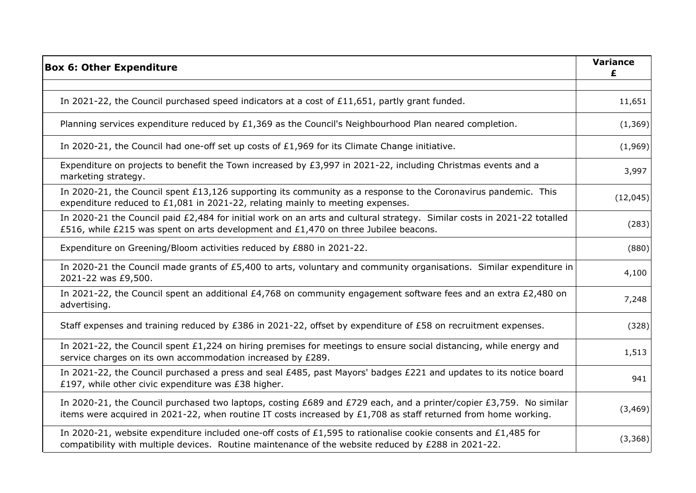| <b>Box 6: Other Expenditure</b>                                                                                                                                                                                                        |          |
|----------------------------------------------------------------------------------------------------------------------------------------------------------------------------------------------------------------------------------------|----------|
|                                                                                                                                                                                                                                        |          |
| In 2021-22, the Council purchased speed indicators at a cost of £11,651, partly grant funded.                                                                                                                                          | 11,651   |
| Planning services expenditure reduced by £1,369 as the Council's Neighbourhood Plan neared completion.                                                                                                                                 | (1, 369) |
| In 2020-21, the Council had one-off set up costs of £1,969 for its Climate Change initiative.                                                                                                                                          | (1,969)  |
| Expenditure on projects to benefit the Town increased by £3,997 in 2021-22, including Christmas events and a<br>marketing strategy.                                                                                                    | 3,997    |
| In 2020-21, the Council spent £13,126 supporting its community as a response to the Coronavirus pandemic. This<br>expenditure reduced to £1,081 in 2021-22, relating mainly to meeting expenses.                                       | (12,045) |
| In 2020-21 the Council paid £2,484 for initial work on an arts and cultural strategy. Similar costs in 2021-22 totalled<br>£516, while £215 was spent on arts development and £1,470 on three Jubilee beacons.                         | (283)    |
| Expenditure on Greening/Bloom activities reduced by £880 in 2021-22.                                                                                                                                                                   | (880)    |
| In 2020-21 the Council made grants of £5,400 to arts, voluntary and community organisations. Similar expenditure in<br>2021-22 was £9,500.                                                                                             | 4,100    |
| In 2021-22, the Council spent an additional £4,768 on community engagement software fees and an extra £2,480 on<br>advertising.                                                                                                        | 7,248    |
| Staff expenses and training reduced by £386 in 2021-22, offset by expenditure of £58 on recruitment expenses.                                                                                                                          | (328)    |
| In 2021-22, the Council spent £1,224 on hiring premises for meetings to ensure social distancing, while energy and<br>service charges on its own accommodation increased by £289.                                                      | 1,513    |
| In 2021-22, the Council purchased a press and seal £485, past Mayors' badges £221 and updates to its notice board<br>£197, while other civic expenditure was £38 higher.                                                               | 941      |
| In 2020-21, the Council purchased two laptops, costing £689 and £729 each, and a printer/copier £3,759. No similar<br>items were acquired in 2021-22, when routine IT costs increased by $£1,708$ as staff returned from home working. | (3, 469) |
| In 2020-21, website expenditure included one-off costs of £1,595 to rationalise cookie consents and £1,485 for<br>compatibility with multiple devices. Routine maintenance of the website reduced by £288 in 2021-22.                  | (3, 368) |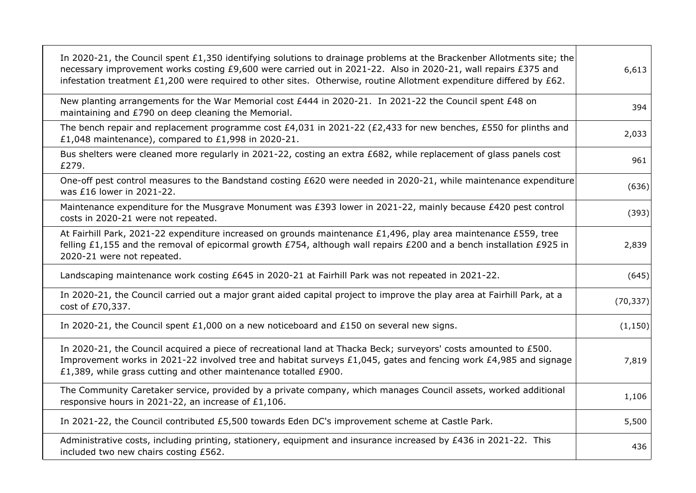| In 2020-21, the Council spent £1,350 identifying solutions to drainage problems at the Brackenber Allotments site; the<br>necessary improvement works costing £9,600 were carried out in 2021-22. Also in 2020-21, wall repairs £375 and<br>infestation treatment £1,200 were required to other sites. Otherwise, routine Allotment expenditure differed by £62. | 6,613     |
|------------------------------------------------------------------------------------------------------------------------------------------------------------------------------------------------------------------------------------------------------------------------------------------------------------------------------------------------------------------|-----------|
| New planting arrangements for the War Memorial cost £444 in 2020-21. In 2021-22 the Council spent £48 on<br>maintaining and £790 on deep cleaning the Memorial.                                                                                                                                                                                                  | 394       |
| The bench repair and replacement programme cost £4,031 in 2021-22 (£2,433 for new benches, £550 for plinths and<br>£1,048 maintenance), compared to £1,998 in 2020-21.                                                                                                                                                                                           | 2,033     |
| Bus shelters were cleaned more regularly in 2021-22, costing an extra £682, while replacement of glass panels cost<br>£279.                                                                                                                                                                                                                                      | 961       |
| One-off pest control measures to the Bandstand costing £620 were needed in 2020-21, while maintenance expenditure<br>was £16 lower in 2021-22.                                                                                                                                                                                                                   | (636)     |
| Maintenance expenditure for the Musgrave Monument was £393 lower in 2021-22, mainly because £420 pest control<br>costs in 2020-21 were not repeated.                                                                                                                                                                                                             | (393)     |
| At Fairhill Park, 2021-22 expenditure increased on grounds maintenance £1,496, play area maintenance £559, tree<br>felling £1,155 and the removal of epicormal growth £754, although wall repairs £200 and a bench installation £925 in<br>2020-21 were not repeated.                                                                                            | 2,839     |
| Landscaping maintenance work costing £645 in 2020-21 at Fairhill Park was not repeated in 2021-22.                                                                                                                                                                                                                                                               | (645)     |
| In 2020-21, the Council carried out a major grant aided capital project to improve the play area at Fairhill Park, at a<br>cost of £70,337.                                                                                                                                                                                                                      | (70, 337) |
| In 2020-21, the Council spent £1,000 on a new noticeboard and £150 on several new signs.                                                                                                                                                                                                                                                                         | (1, 150)  |
| In 2020-21, the Council acquired a piece of recreational land at Thacka Beck; surveyors' costs amounted to £500.<br>Improvement works in 2021-22 involved tree and habitat surveys £1,045, gates and fencing work £4,985 and signage<br>£1,389, while grass cutting and other maintenance totalled £900.                                                         | 7,819     |
| The Community Caretaker service, provided by a private company, which manages Council assets, worked additional<br>responsive hours in 2021-22, an increase of £1,106.                                                                                                                                                                                           | 1,106     |
| In 2021-22, the Council contributed £5,500 towards Eden DC's improvement scheme at Castle Park.                                                                                                                                                                                                                                                                  | 5,500     |
| Administrative costs, including printing, stationery, equipment and insurance increased by £436 in 2021-22. This<br>included two new chairs costing £562.                                                                                                                                                                                                        | 436       |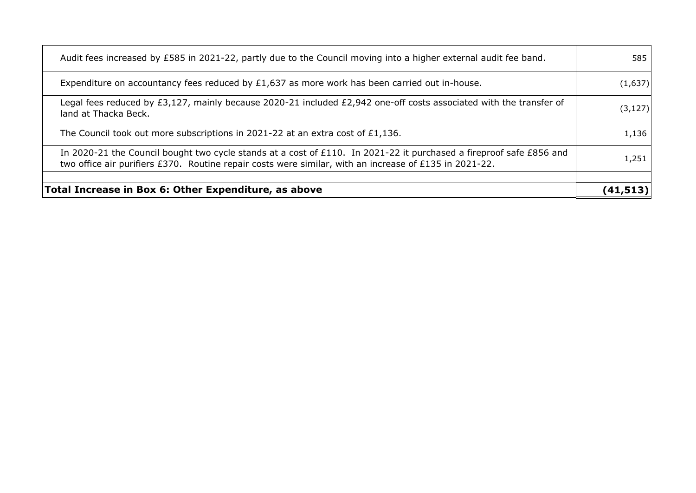| Total Increase in Box 6: Other Expenditure, as above                                                                                                                                                                          | (41,513  |
|-------------------------------------------------------------------------------------------------------------------------------------------------------------------------------------------------------------------------------|----------|
| In 2020-21 the Council bought two cycle stands at a cost of £110. In 2021-22 it purchased a fireproof safe £856 and<br>two office air purifiers £370. Routine repair costs were similar, with an increase of £135 in 2021-22. | 1,251    |
| The Council took out more subscriptions in 2021-22 at an extra cost of £1,136.                                                                                                                                                | 1,136    |
| Legal fees reduced by £3,127, mainly because 2020-21 included £2,942 one-off costs associated with the transfer of<br>land at Thacka Beck.                                                                                    | (3, 127) |
| Expenditure on accountancy fees reduced by $£1,637$ as more work has been carried out in-house.                                                                                                                               | (1,637)  |
| Audit fees increased by £585 in 2021-22, partly due to the Council moving into a higher external audit fee band.                                                                                                              |          |